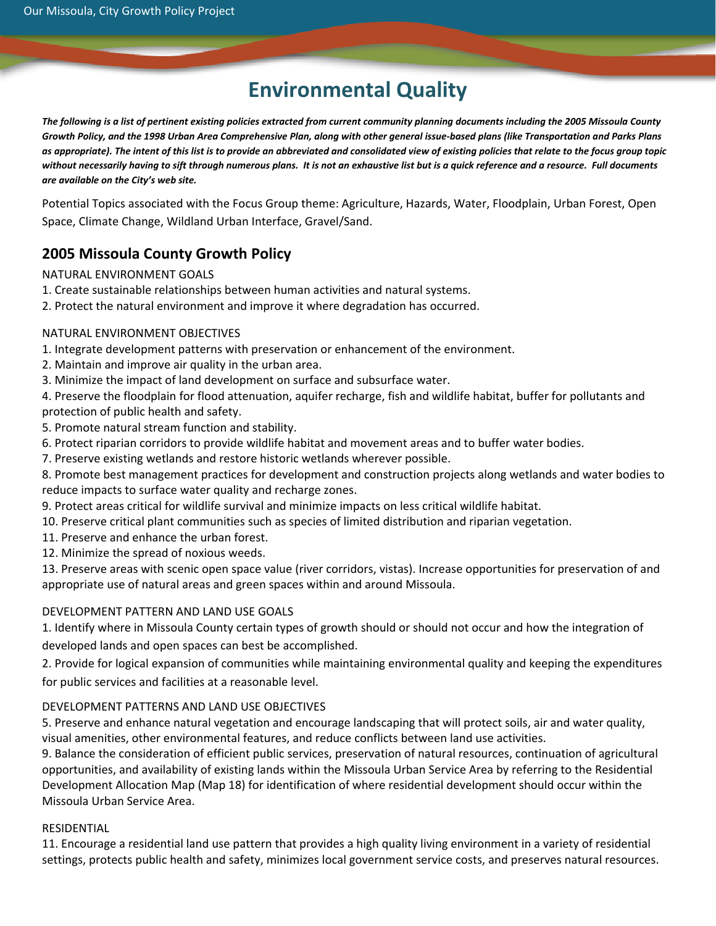# **Environmental Quality**

The following is a list of pertinent existing policies extracted from current community planning documents including the 2005 Missoula County Growth Policy, and the 1998 Urban Area Comprehensive Plan, along with other general issue-based plans (like Transportation and Parks Plans as appropriate). The intent of this list is to provide an abbreviated and consolidated view of existing policies that relate to the focus group topic without necessarily having to sift through numerous plans. It is not an exhaustive list but is a quick reference and a resource. Full documents *are available on the City's web site.*

Potential Topics associated with the Focus Group theme: Agriculture, Hazards, Water, Floodplain, Urban Forest, Open Space, Climate Change, Wildland Urban Interface, Gravel/Sand.

# **2005 Missoula County Growth Policy**

NATURAL ENVIRONMENT GOALS

- 1. Create sustainable relationships between human activities and natural systems.
- 2. Protect the natural environment and improve it where degradation has occurred.

# NATURAL ENVIRONMENT OBJECTIVES

- 1. Integrate development patterns with preservation or enhancement of the environment.
- 2. Maintain and improve air quality in the urban area.
- 3. Minimize the impact of land development on surface and subsurface water.
- 4. Preserve the floodplain for flood attenuation, aquifer recharge, fish and wildlife habitat, buffer for pollutants and protection of public health and safety.
- 5. Promote natural stream function and stability.
- 6. Protect riparian corridors to provide wildlife habitat and movement areas and to buffer water bodies.
- 7. Preserve existing wetlands and restore historic wetlands wherever possible.
- 8. Promote best management practices for development and construction projects along wetlands and water bodies to reduce impacts to surface water quality and recharge zones.
- 9. Protect areas critical for wildlife survival and minimize impacts on less critical wildlife habitat.
- 10. Preserve critical plant communities such as species of limited distribution and riparian vegetation.
- 11. Preserve and enhance the urban forest.
- 12. Minimize the spread of noxious weeds.

13. Preserve areas with scenic open space value (river corridors, vistas). Increase opportunities for preservation of and appropriate use of natural areas and green spaces within and around Missoula.

# DEVELOPMENT PATTERN AND LAND USE GOALS

1. Identify where in Missoula County certain types of growth should or should not occur and how the integration of developed lands and open spaces can best be accomplished.

2. Provide for logical expansion of communities while maintaining environmental quality and keeping the expenditures for public services and facilities at a reasonable level.

# DEVELOPMENT PATTERNS AND LAND USE OBJECTIVES

5. Preserve and enhance natural vegetation and encourage landscaping that will protect soils, air and water quality, visual amenities, other environmental features, and reduce conflicts between land use activities.

9. Balance the consideration of efficient public services, preservation of natural resources, continuation of agricultural opportunities, and availability of existing lands within the Missoula Urban Service Area by referring to the Residential Development Allocation Map (Map 18) for identification of where residential development should occur within the Missoula Urban Service Area.

#### **RESIDENTIAL**

11. Encourage a residential land use pattern that provides a high quality living environment in a variety of residential settings, protects public health and safety, minimizes local government service costs, and preserves natural resources.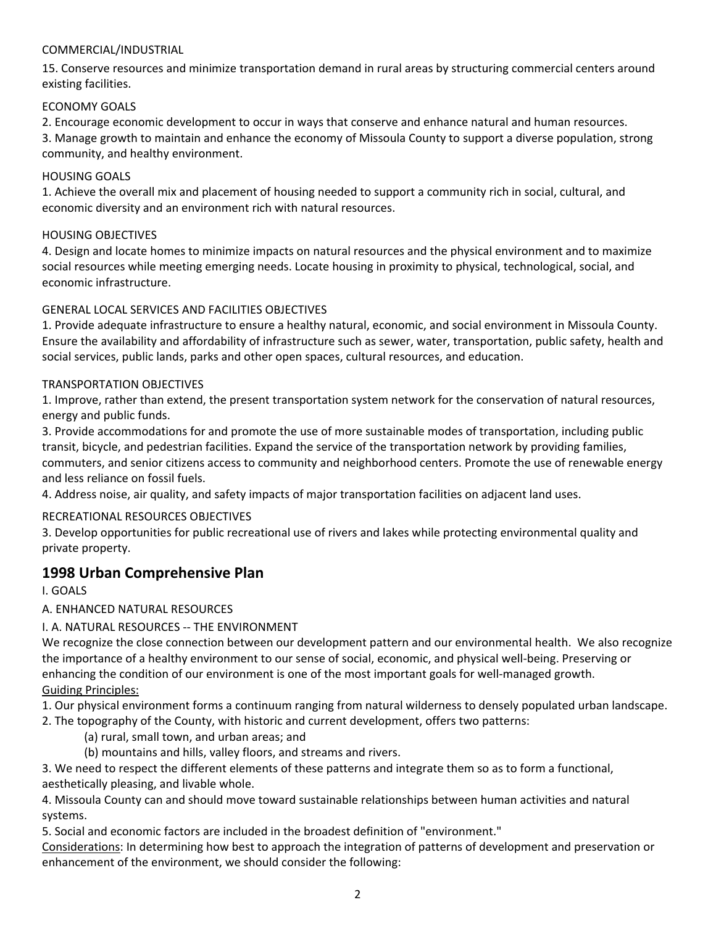## COMMERCIAL/INDUSTRIAL

15. Conserve resources and minimize transportation demand in rural areas by structuring commercial centers around existing facilities.

#### ECONOMY GOALS

2. Encourage economic development to occur in ways that conserve and enhance natural and human resources.

3. Manage growth to maintain and enhance the economy of Missoula County to support a diverse population, strong community, and healthy environment.

## HOUSING GOALS

1. Achieve the overall mix and placement of housing needed to support a community rich in social, cultural, and economic diversity and an environment rich with natural resources.

## HOUSING OBJECTIVES

4. Design and locate homes to minimize impacts on natural resources and the physical environment and to maximize social resources while meeting emerging needs. Locate housing in proximity to physical, technological, social, and economic infrastructure.

# GENERAL LOCAL SERVICES AND FACILITIES OBJECTIVES

1. Provide adequate infrastructure to ensure a healthy natural, economic, and social environment in Missoula County. Ensure the availability and affordability of infrastructure such as sewer, water, transportation, public safety, health and social services, public lands, parks and other open spaces, cultural resources, and education.

#### TRANSPORTATION OBJECTIVES

1. Improve, rather than extend, the present transportation system network for the conservation of natural resources, energy and public funds.

3. Provide accommodations for and promote the use of more sustainable modes of transportation, including public transit, bicycle, and pedestrian facilities. Expand the service of the transportation network by providing families, commuters, and senior citizens access to community and neighborhood centers. Promote the use of renewable energy and less reliance on fossil fuels.

4. Address noise, air quality, and safety impacts of major transportation facilities on adjacent land uses.

# RECREATIONAL RESOURCES OBJECTIVES

3. Develop opportunities for public recreational use of rivers and lakes while protecting environmental quality and private property.

# **1998 Urban Comprehensive Plan**

I. GOALS

# A. ENHANCED NATURAL RESOURCES

# I. A. NATURAL RESOURCES ‐‐ THE ENVIRONMENT

We recognize the close connection between our development pattern and our environmental health. We also recognize the importance of a healthy environment to our sense of social, economic, and physical well‐being. Preserving or enhancing the condition of our environment is one of the most important goals for well-managed growth. Guiding Principles:

1. Our physical environment forms a continuum ranging from natural wilderness to densely populated urban landscape.

2. The topography of the County, with historic and current development, offers two patterns:

- (a) rural, small town, and urban areas; and
- (b) mountains and hills, valley floors, and streams and rivers.

3. We need to respect the different elements of these patterns and integrate them so as to form a functional, aesthetically pleasing, and livable whole.

4. Missoula County can and should move toward sustainable relationships between human activities and natural systems.

5. Social and economic factors are included in the broadest definition of "environment."

Considerations: In determining how best to approach the integration of patterns of development and preservation or enhancement of the environment, we should consider the following: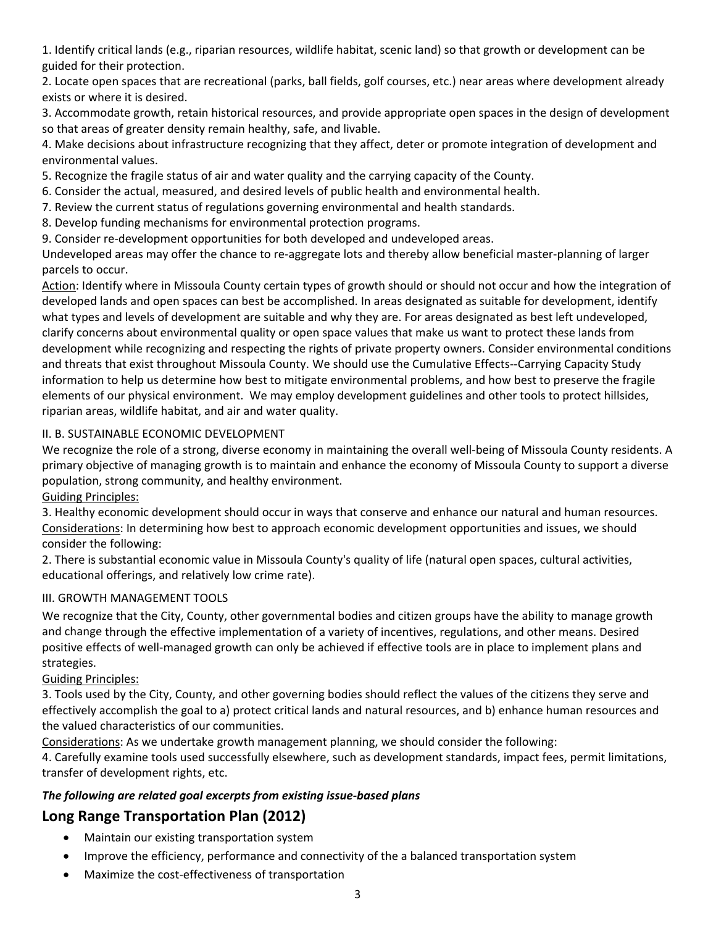1. Identify critical lands (e.g., riparian resources, wildlife habitat, scenic land) so that growth or development can be guided for their protection.

2. Locate open spaces that are recreational (parks, ball fields, golf courses, etc.) near areas where development already exists or where it is desired.

3. Accommodate growth, retain historical resources, and provide appropriate open spaces in the design of development so that areas of greater density remain healthy, safe, and livable.

4. Make decisions about infrastructure recognizing that they affect, deter or promote integration of development and environmental values.

5. Recognize the fragile status of air and water quality and the carrying capacity of the County.

- 6. Consider the actual, measured, and desired levels of public health and environmental health.
- 7. Review the current status of regulations governing environmental and health standards.
- 8. Develop funding mechanisms for environmental protection programs.
- 9. Consider re-development opportunities for both developed and undeveloped areas.

Undeveloped areas may offer the chance to re‐aggregate lots and thereby allow beneficial master‐planning of larger parcels to occur.

Action: Identify where in Missoula County certain types of growth should or should not occur and how the integration of developed lands and open spaces can best be accomplished. In areas designated as suitable for development, identify what types and levels of development are suitable and why they are. For areas designated as best left undeveloped, clarify concerns about environmental quality or open space values that make us want to protect these lands from development while recognizing and respecting the rights of private property owners. Consider environmental conditions and threats that exist throughout Missoula County. We should use the Cumulative Effects‐‐Carrying Capacity Study information to help us determine how best to mitigate environmental problems, and how best to preserve the fragile elements of our physical environment. We may employ development guidelines and other tools to protect hillsides, riparian areas, wildlife habitat, and air and water quality.

# II. B. SUSTAINABLE ECONOMIC DEVELOPMENT

We recognize the role of a strong, diverse economy in maintaining the overall well-being of Missoula County residents. A primary objective of managing growth is to maintain and enhance the economy of Missoula County to support a diverse population, strong community, and healthy environment.

Guiding Principles:

3. Healthy economic development should occur in ways that conserve and enhance our natural and human resources. Considerations: In determining how best to approach economic development opportunities and issues, we should consider the following:

2. There is substantial economic value in Missoula County's quality of life (natural open spaces, cultural activities, educational offerings, and relatively low crime rate).

# III. GROWTH MANAGEMENT TOOLS

We recognize that the City, County, other governmental bodies and citizen groups have the ability to manage growth and change through the effective implementation of a variety of incentives, regulations, and other means. Desired positive effects of well-managed growth can only be achieved if effective tools are in place to implement plans and strategies.

# Guiding Principles:

3. Tools used by the City, County, and other governing bodies should reflect the values of the citizens they serve and effectively accomplish the goal to a) protect critical lands and natural resources, and b) enhance human resources and the valued characteristics of our communities.

Considerations: As we undertake growth management planning, we should consider the following:

4. Carefully examine tools used successfully elsewhere, such as development standards, impact fees, permit limitations, transfer of development rights, etc.

# *The following are related goal excerpts from existing issue‐based plans*

# **Long Range Transportation Plan (2012)**

- Maintain our existing transportation system
- Improve the efficiency, performance and connectivity of the a balanced transportation system
- Maximize the cost‐effectiveness of transportation